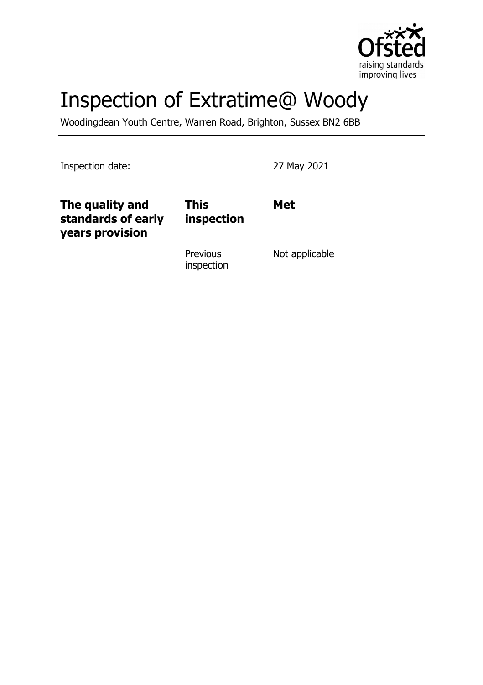

# Inspection of Extratime@ Woody

Woodingdean Youth Centre, Warren Road, Brighton, Sussex BN2 6BB

Inspection date: 27 May 2021

| The quality and<br>standards of early<br>years provision | <b>This</b><br>inspection | <b>Met</b>     |
|----------------------------------------------------------|---------------------------|----------------|
|                                                          | Previous<br>inspection    | Not applicable |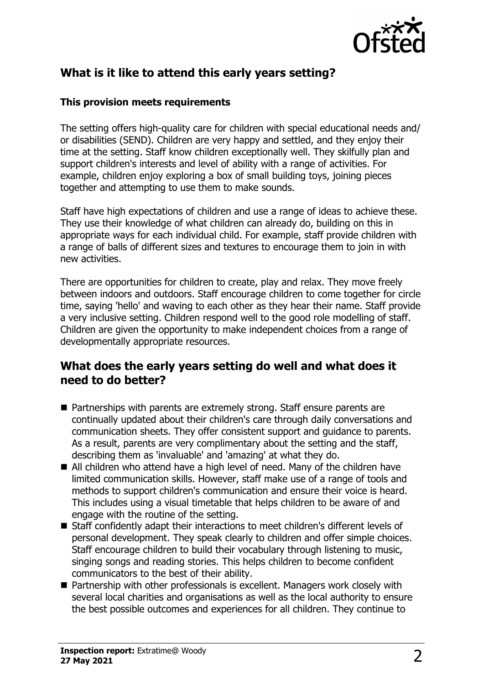

# **What is it like to attend this early years setting?**

#### **This provision meets requirements**

The setting offers high-quality care for children with special educational needs and/ or disabilities (SEND). Children are very happy and settled, and they enjoy their time at the setting. Staff know children exceptionally well. They skilfully plan and support children's interests and level of ability with a range of activities. For example, children enjoy exploring a box of small building toys, joining pieces together and attempting to use them to make sounds.

Staff have high expectations of children and use a range of ideas to achieve these. They use their knowledge of what children can already do, building on this in appropriate ways for each individual child. For example, staff provide children with a range of balls of different sizes and textures to encourage them to join in with new activities.

There are opportunities for children to create, play and relax. They move freely between indoors and outdoors. Staff encourage children to come together for circle time, saying 'hello' and waving to each other as they hear their name. Staff provide a very inclusive setting. Children respond well to the good role modelling of staff. Children are given the opportunity to make independent choices from a range of developmentally appropriate resources.

## **What does the early years setting do well and what does it need to do better?**

- Partnerships with parents are extremely strong. Staff ensure parents are continually updated about their children's care through daily conversations and communication sheets. They offer consistent support and guidance to parents. As a result, parents are very complimentary about the setting and the staff, describing them as 'invaluable' and 'amazing' at what they do.
- $\blacksquare$  All children who attend have a high level of need. Many of the children have limited communication skills. However, staff make use of a range of tools and methods to support children's communication and ensure their voice is heard. This includes using a visual timetable that helps children to be aware of and engage with the routine of the setting.
- Staff confidently adapt their interactions to meet children's different levels of personal development. They speak clearly to children and offer simple choices. Staff encourage children to build their vocabulary through listening to music, singing songs and reading stories. This helps children to become confident communicators to the best of their ability.
- $\blacksquare$  Partnership with other professionals is excellent. Managers work closely with several local charities and organisations as well as the local authority to ensure the best possible outcomes and experiences for all children. They continue to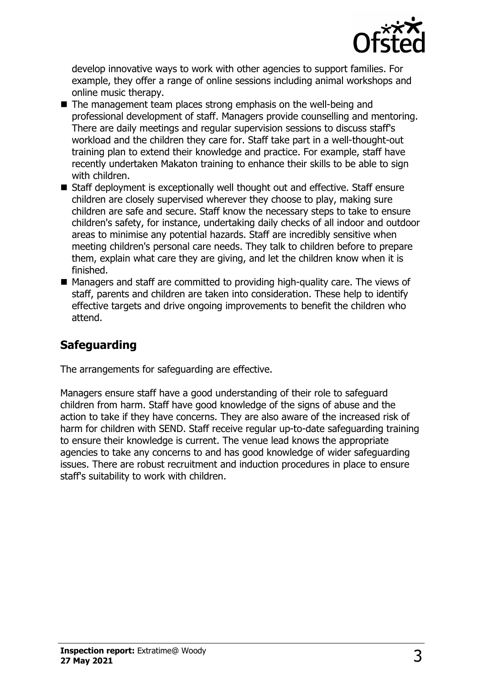

develop innovative ways to work with other agencies to support families. For example, they offer a range of online sessions including animal workshops and online music therapy.

- $\blacksquare$  The management team places strong emphasis on the well-being and professional development of staff. Managers provide counselling and mentoring. There are daily meetings and regular supervision sessions to discuss staff's workload and the children they care for. Staff take part in a well-thought-out training plan to extend their knowledge and practice. For example, staff have recently undertaken Makaton training to enhance their skills to be able to sign with children.
- Staff deployment is exceptionally well thought out and effective. Staff ensure children are closely supervised wherever they choose to play, making sure children are safe and secure. Staff know the necessary steps to take to ensure children's safety, for instance, undertaking daily checks of all indoor and outdoor areas to minimise any potential hazards. Staff are incredibly sensitive when meeting children's personal care needs. They talk to children before to prepare them, explain what care they are giving, and let the children know when it is finished.
- $\blacksquare$  Managers and staff are committed to providing high-quality care. The views of staff, parents and children are taken into consideration. These help to identify effective targets and drive ongoing improvements to benefit the children who attend.

# **Safeguarding**

The arrangements for safeguarding are effective.

Managers ensure staff have a good understanding of their role to safeguard children from harm. Staff have good knowledge of the signs of abuse and the action to take if they have concerns. They are also aware of the increased risk of harm for children with SEND. Staff receive regular up-to-date safeguarding training to ensure their knowledge is current. The venue lead knows the appropriate agencies to take any concerns to and has good knowledge of wider safeguarding issues. There are robust recruitment and induction procedures in place to ensure staff's suitability to work with children.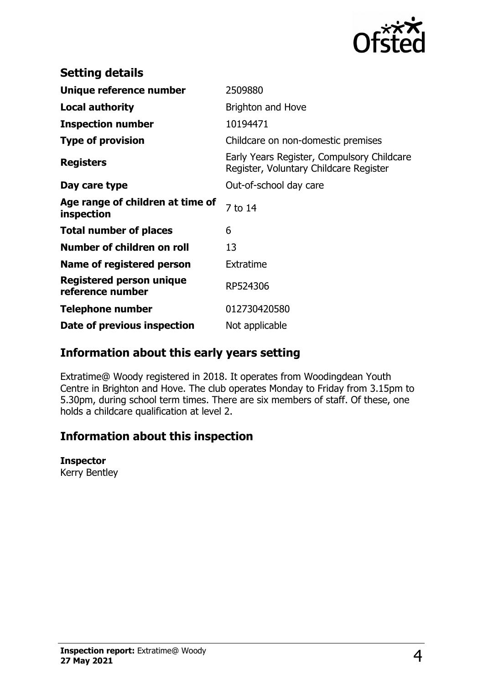

| <b>Setting details</b>                         |                                                                                      |  |
|------------------------------------------------|--------------------------------------------------------------------------------------|--|
| Unique reference number                        | 2509880                                                                              |  |
| <b>Local authority</b>                         | <b>Brighton and Hove</b>                                                             |  |
| <b>Inspection number</b>                       | 10194471                                                                             |  |
| <b>Type of provision</b>                       | Childcare on non-domestic premises                                                   |  |
| <b>Registers</b>                               | Early Years Register, Compulsory Childcare<br>Register, Voluntary Childcare Register |  |
| Day care type                                  | Out-of-school day care                                                               |  |
| Age range of children at time of<br>inspection | 7 to 14                                                                              |  |
| <b>Total number of places</b>                  | 6                                                                                    |  |
| Number of children on roll                     | 13                                                                                   |  |
| Name of registered person                      | Extratime                                                                            |  |
| Registered person unique<br>reference number   | RP524306                                                                             |  |
| <b>Telephone number</b>                        | 012730420580                                                                         |  |
| Date of previous inspection                    | Not applicable                                                                       |  |

## **Information about this early years setting**

Extratime@ Woody registered in 2018. It operates from Woodingdean Youth Centre in Brighton and Hove. The club operates Monday to Friday from 3.15pm to 5.30pm, during school term times. There are six members of staff. Of these, one holds a childcare qualification at level 2.

# **Information about this inspection**

#### **Inspector**

Kerry Bentley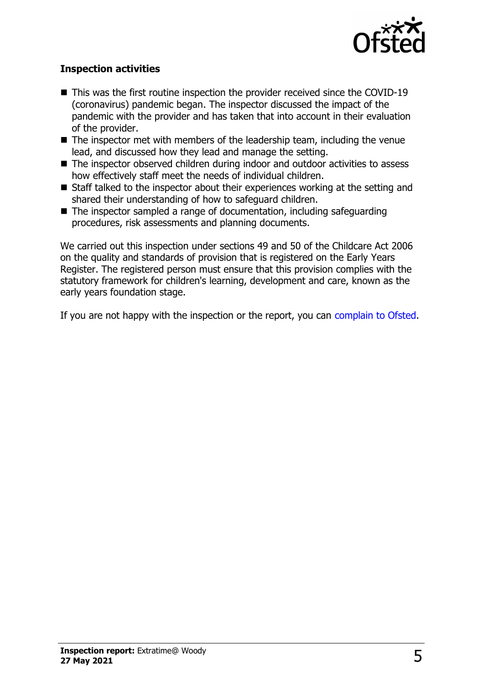

#### **Inspection activities**

- $\blacksquare$  This was the first routine inspection the provider received since the COVID-19 (coronavirus) pandemic began. The inspector discussed the impact of the pandemic with the provider and has taken that into account in their evaluation of the provider.
- $\blacksquare$  The inspector met with members of the leadership team, including the venue lead, and discussed how they lead and manage the setting.
- $\blacksquare$  The inspector observed children during indoor and outdoor activities to assess how effectively staff meet the needs of individual children.
- $\blacksquare$  Staff talked to the inspector about their experiences working at the setting and shared their understanding of how to safeguard children.
- $\blacksquare$  The inspector sampled a range of documentation, including safeguarding procedures, risk assessments and planning documents.

We carried out this inspection under sections 49 and 50 of the Childcare Act 2006 on the quality and standards of provision that is registered on the Early Years Register. The registered person must ensure that this provision complies with the statutory framework for children's learning, development and care, known as the early years foundation stage.

If you are not happy with the inspection or the report, you can [complain to Ofsted.](http://www.gov.uk/complain-ofsted-report)